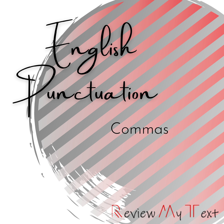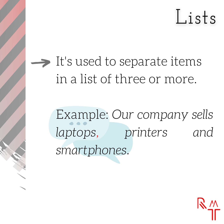Lists

 $\rightarrow$  It's used to separate items in a list of three or more.

> Example: *Our company sells laptops, printers and smartphones.*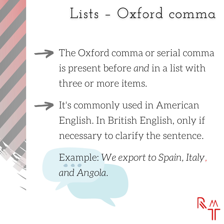#### Lists - Oxford comma

- The Oxford comma or serial comma is present before *and* in a list with three or more items.
- It's commonly used in American English. In British English, only if necessary to clarify the sentence.

Example: *We export to Spain, Italy, and Angola.*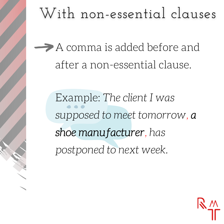## With non-essential clauses

A comma is added before and after a non-essential clause.

> Example: *The client I was supposed to meet tomorrow,* a shoe manufacturer*, has postponed to next week.*

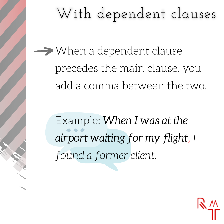# With dependent clauses

 $\rightarrow$  When a dependent clause precedes the main clause, you add a comma between the two.

> Example: When I was at the airport waiting for my flight*, I found a former client.*

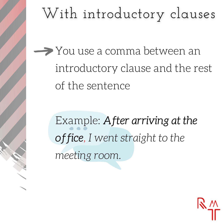# With introductory clauses

**→** You use a comma between an introductory clause and the rest of the sentence

> Example: After arriving at the office*, I went straight to the meeting room.*

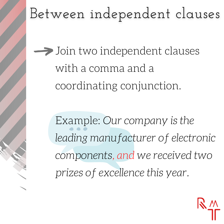# Between independent clauses

 $\rightarrow$  Join two independent clauses with a comma and a coordinating conjunction.

> Example: *Our company is the leading manufacturer of electronic components, and we received two prizes of excellence this year.*

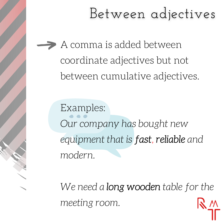#### Between adjectives

A comma is added between coordinate adjectives but not between cumulative adjectives.

Examples: *Our company has bought new equipment that is* fast*,* reliable *and modern.*

*We need a* long wooden *table for the meeting room.*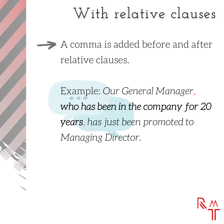## With relative clauses

A comma is added before and after relative clauses.

> Example: *Our General Manager,* who has been in the company for 20 years*, has just been promoted to Managing Director.*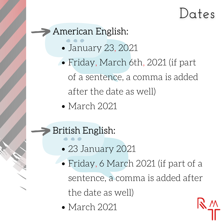# Dates

#### American English:

- January 23, 2021
- Friday, March 6th,2021 (if part of a sentence, a comma is added after the date as well)
- March 2021

#### British English:

- 23 January 2021
- Friday, 6 March 2021 (if part of a sentence, a comma is added after the date as well)
- March 2021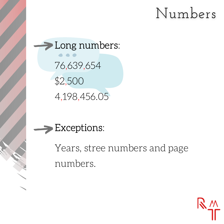### Numbers

>Long numbers: 76,639,654 \$2,500 4,198,456.05



Years, stree numbers and page numbers.